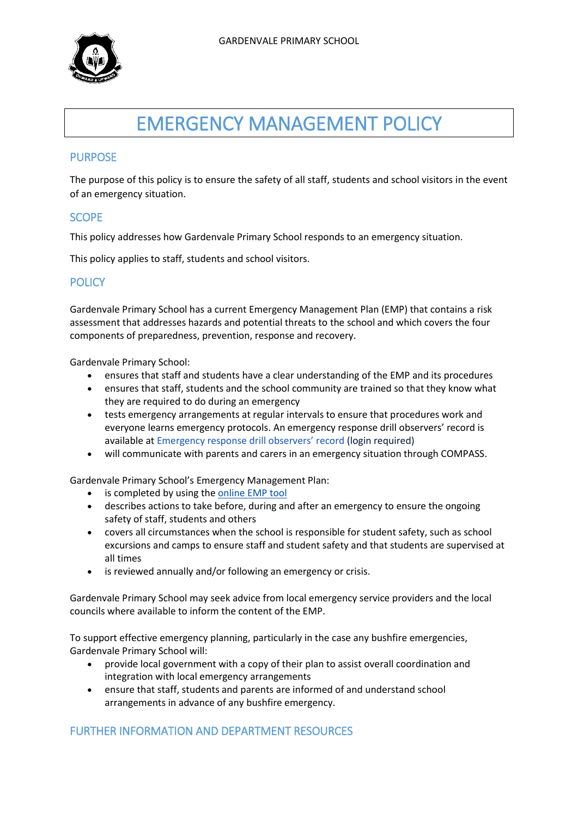

# EMERGENCY MANAGEMENT POLICY

## PURPOSE

The purpose of this policy is to ensure the safety of all staff, students and school visitors in the event of an emergency situation.

## **SCOPE**

This policy addresses how Gardenvale Primary School responds to an emergency situation.

This policy applies to staff, students and school visitors.

## **POLICY**

Gardenvale Primary School has a current Emergency Management Plan (EMP) that contains a risk assessment that addresses hazards and potential threats to the school and which covers the four components of preparedness, prevention, response and recovery.

Gardenvale Primary School:

- ensures that staff and students have a clear understanding of the EMP and its procedures
- ensures that staff, students and the school community are trained so that they know what they are required to do during an emergency
- tests emergency arrangements at regular intervals to ensure that procedures work and everyone learns emergency protocols. An emergency response drill observers' record is available at [Emergency response drill observers](https://edugate.eduweb.vic.gov.au/sites/i/Shared%20Documents/Emergency-response-drill-observers-record.docx)' record (login required)
- will communicate with parents and carers in an emergency situation through COMPASS.

Gardenvale Primary School's Emergency Management Plan:

- is completed by using the [online EMP tool](https://emergencymanagement.eduweb.vic.gov.au/myschools)
- describes actions to take before, during and after an emergency to ensure the ongoing safety of staff, students and others
- covers all circumstances when the school is responsible for student safety, such as school excursions and camps to ensure staff and student safety and that students are supervised at all times
- is reviewed annually and/or following an emergency or crisis.

Gardenvale Primary School may seek advice from local emergency service providers and the local councils where available to inform the content of the EMP.

To support effective emergency planning, particularly in the case any bushfire emergencies, Gardenvale Primary School will:

- provide local government with a copy of their plan to assist overall coordination and integration with local emergency arrangements
- ensure that staff, students and parents are informed of and understand school arrangements in advance of any bushfire emergency.

## FURTHER INFORMATION AND DEPARTMENT RESOURCES